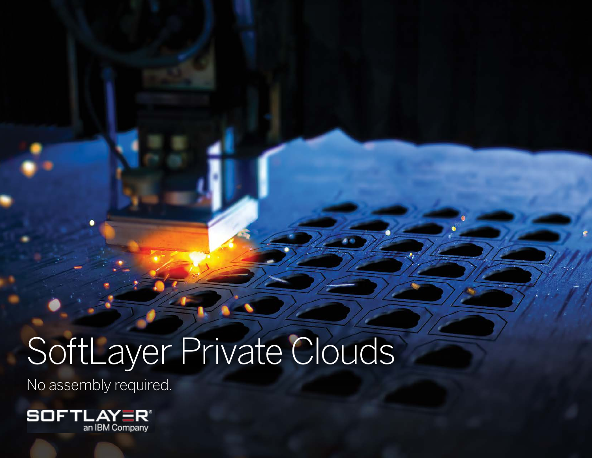# SoftLayer Private Clouds SoftLayer Private Clouds

No assembly required.